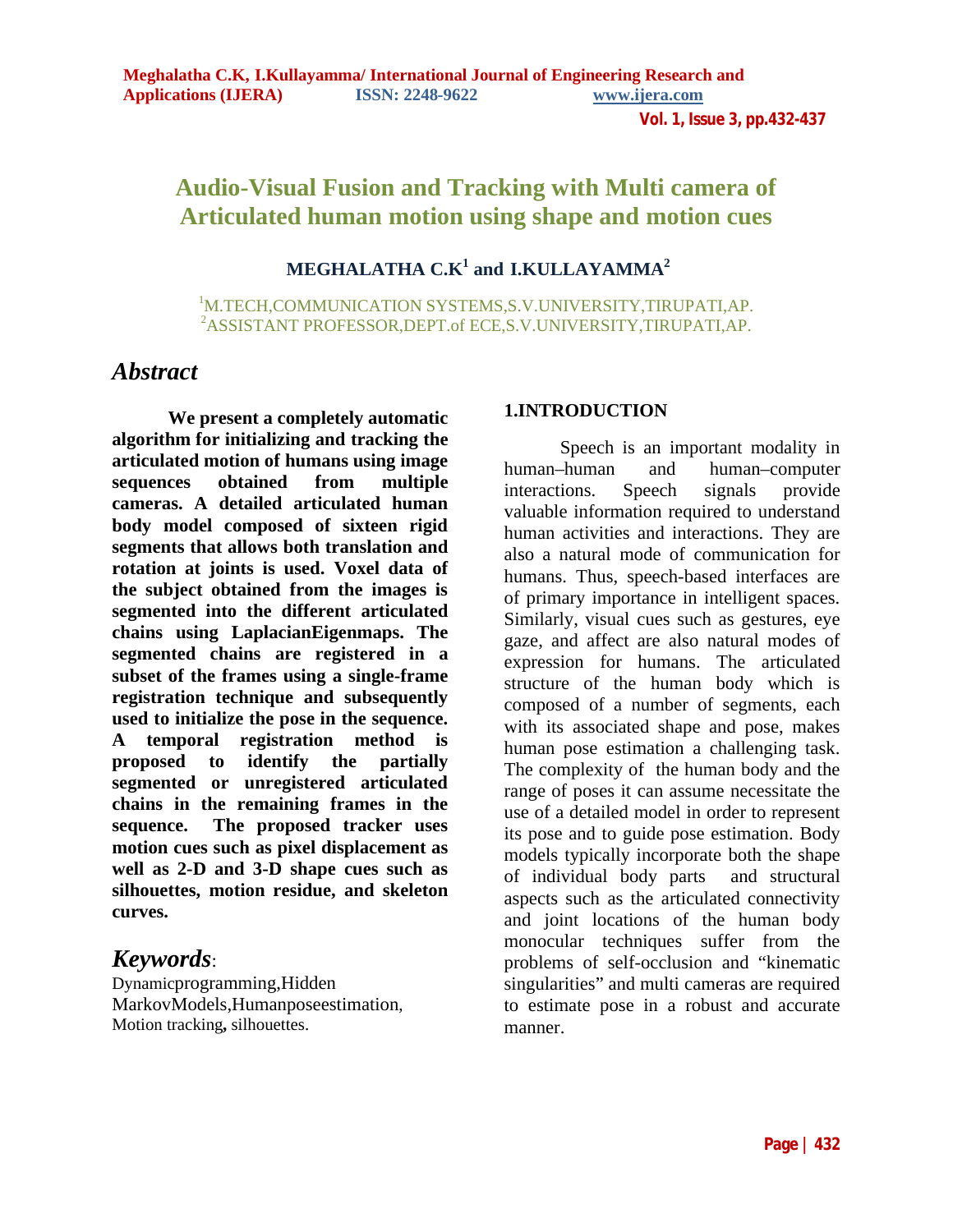# **Audio-Visual Fusion and Tracking with Multi camera of Articulated human motion using shape and motion cues**

# **MEGHALATHA C.K1 and I.KULLAYAMMA2**

1 M.TECH,COMMUNICATION SYSTEMS,S.V.UNIVERSITY,TIRUPATI,AP. 2 ASSISTANT PROFESSOR,DEPT.of ECE,S.V.UNIVERSITY,TIRUPATI,AP.

# *Abstract*

**We present a completely automatic algorithm for initializing and tracking the articulated motion of humans using image sequences obtained from multiple cameras. A detailed articulated human body model composed of sixteen rigid segments that allows both translation and rotation at joints is used. Voxel data of the subject obtained from the images is segmented into the different articulated chains using LaplacianEigenmaps. The segmented chains are registered in a subset of the frames using a single-frame registration technique and subsequently used to initialize the pose in the sequence. A temporal registration method is proposed to identify the partially segmented or unregistered articulated chains in the remaining frames in the sequence. The proposed tracker uses motion cues such as pixel displacement as well as 2-D and 3-D shape cues such as silhouettes, motion residue, and skeleton curves.** 

# *Keywords*:

Dynamicprogramming,Hidden MarkovModels,Humanposeestimation, Motion tracking**,** silhouettes.

#### **1.INTRODUCTION**

Speech is an important modality in human–human and human–computer interactions. Speech signals provide valuable information required to understand human activities and interactions. They are also a natural mode of communication for humans. Thus, speech-based interfaces are of primary importance in intelligent spaces. Similarly, visual cues such as gestures, eye gaze, and affect are also natural modes of expression for humans. The articulated structure of the human body which is composed of a number of segments, each with its associated shape and pose, makes human pose estimation a challenging task. The complexity of the human body and the range of poses it can assume necessitate the use of a detailed model in order to represent its pose and to guide pose estimation. Body models typically incorporate both the shape of individual body parts and structural aspects such as the articulated connectivity and joint locations of the human body monocular techniques suffer from the problems of self-occlusion and "kinematic singularities" and multi cameras are required to estimate pose in a robust and accurate manner.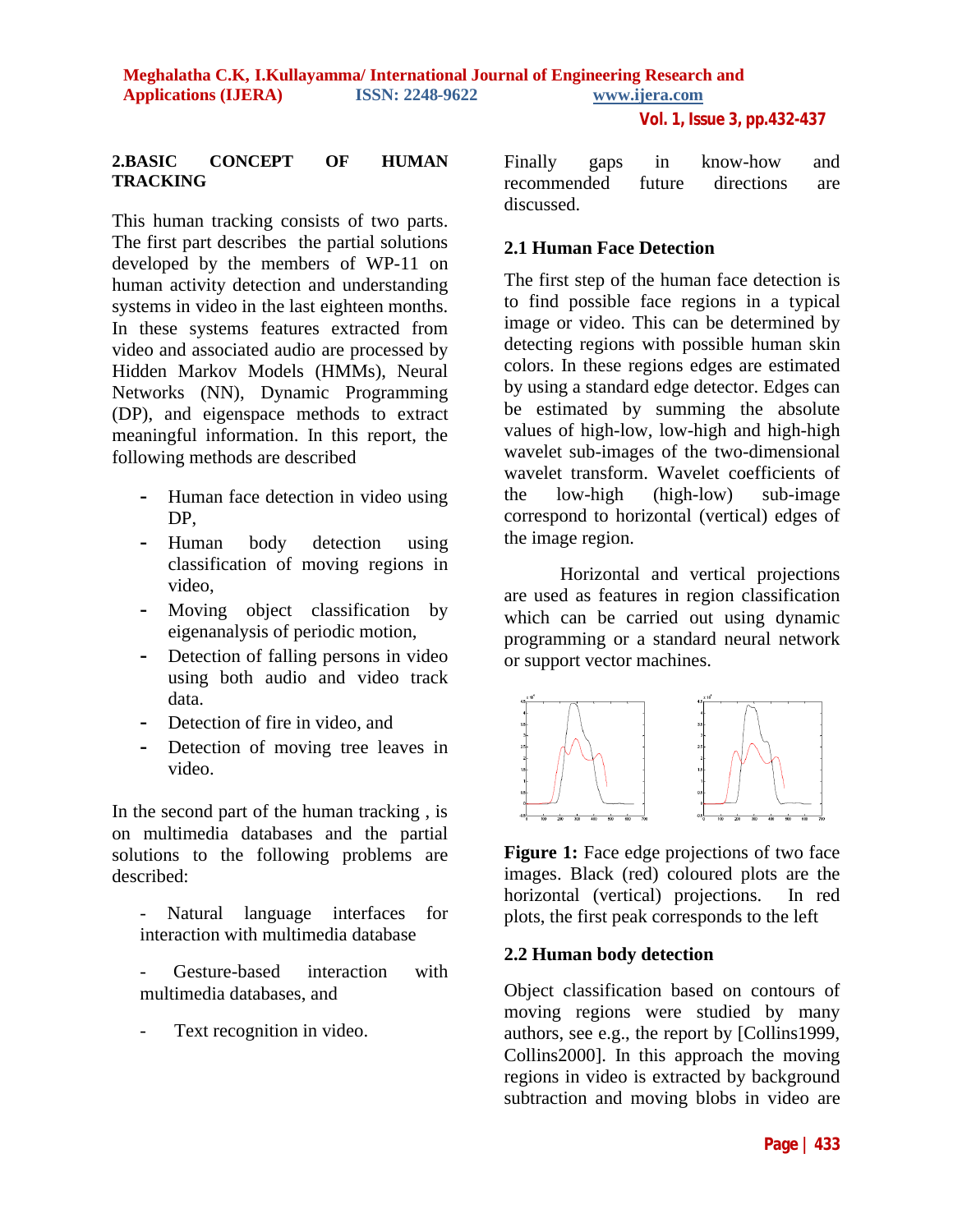#### **2.BASIC CONCEPT OF HUMAN TRACKING**

This human tracking consists of two parts. The first part describes the partial solutions developed by the members of WP-11 on human activity detection and understanding systems in video in the last eighteen months. In these systems features extracted from video and associated audio are processed by Hidden Markov Models (HMMs), Neural Networks (NN), Dynamic Programming (DP), and eigenspace methods to extract meaningful information. In this report, the following methods are described

- **-** Human face detection in video using DP,
- **-** Human body detection using classification of moving regions in video,
- **-** Moving object classification by eigenanalysis of periodic motion,
- **-** Detection of falling persons in video using both audio and video track data.
- **-** Detection of fire in video, and
- **-** Detection of moving tree leaves in video.

In the second part of the human tracking , is on multimedia databases and the partial solutions to the following problems are described:

- Natural language interfaces for interaction with multimedia database

Gesture-based interaction with multimedia databases, and

Text recognition in video.

Finally gaps in know-how and recommended future directions are discussed.

## **2.1 Human Face Detection**

The first step of the human face detection is to find possible face regions in a typical image or video. This can be determined by detecting regions with possible human skin colors. In these regions edges are estimated by using a standard edge detector. Edges can be estimated by summing the absolute values of high-low, low-high and high-high wavelet sub-images of the two-dimensional wavelet transform. Wavelet coefficients of the low-high (high-low) sub-image correspond to horizontal (vertical) edges of the image region.

Horizontal and vertical projections are used as features in region classification which can be carried out using dynamic programming or a standard neural network or support vector machines.



**Figure 1:** Face edge projections of two face images. Black (red) coloured plots are the horizontal (vertical) projections. In red plots, the first peak corresponds to the left

## **2.2 Human body detection**

Object classification based on contours of moving regions were studied by many authors, see e.g., the report by [Collins1999, Collins2000]. In this approach the moving regions in video is extracted by background subtraction and moving blobs in video are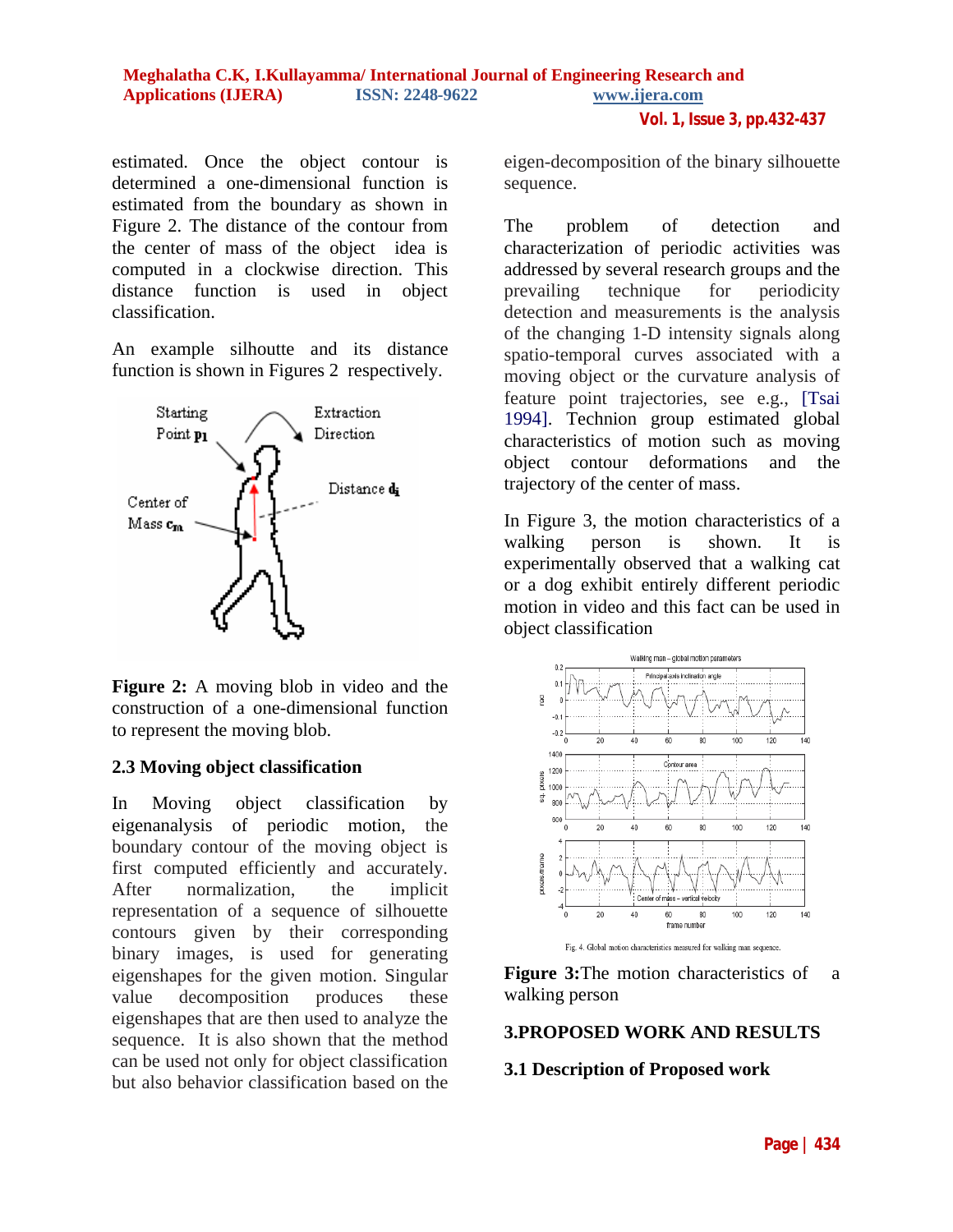estimated. Once the object contour is determined a one-dimensional function is estimated from the boundary as shown in Figure 2. The distance of the contour from the center of mass of the object idea is computed in a clockwise direction. This distance function is used in object classification.

An example silhoutte and its distance function is shown in Figures 2 respectively.



**Figure 2:** A moving blob in video and the construction of a one-dimensional function to represent the moving blob.

## **2.3 Moving object classification**

In Moving object classification by eigenanalysis of periodic motion, the boundary contour of the moving object is first computed efficiently and accurately. After normalization, the implicit representation of a sequence of silhouette contours given by their corresponding binary images, is used for generating eigenshapes for the given motion. Singular value decomposition produces these eigenshapes that are then used to analyze the sequence. It is also shown that the method can be used not only for object classification but also behavior classification based on the

eigen-decomposition of the binary silhouette sequence.

The problem of detection and characterization of periodic activities was addressed by several research groups and the prevailing technique for periodicity detection and measurements is the analysis of the changing 1-D intensity signals along spatio-temporal curves associated with a moving object or the curvature analysis of feature point trajectories, see e.g., [Tsai 1994]. Technion group estimated global characteristics of motion such as moving object contour deformations and the trajectory of the center of mass.

In Figure 3, the motion characteristics of a walking person is shown. It is experimentally observed that a walking cat or a dog exhibit entirely different periodic motion in video and this fact can be used in object classification



Fig. 4. Global motion characteristics measured for walking man sequence.

**Figure 3:**The motion characteristics of a walking person

## **3.PROPOSED WORK AND RESULTS**

## **3.1 Description of Proposed work**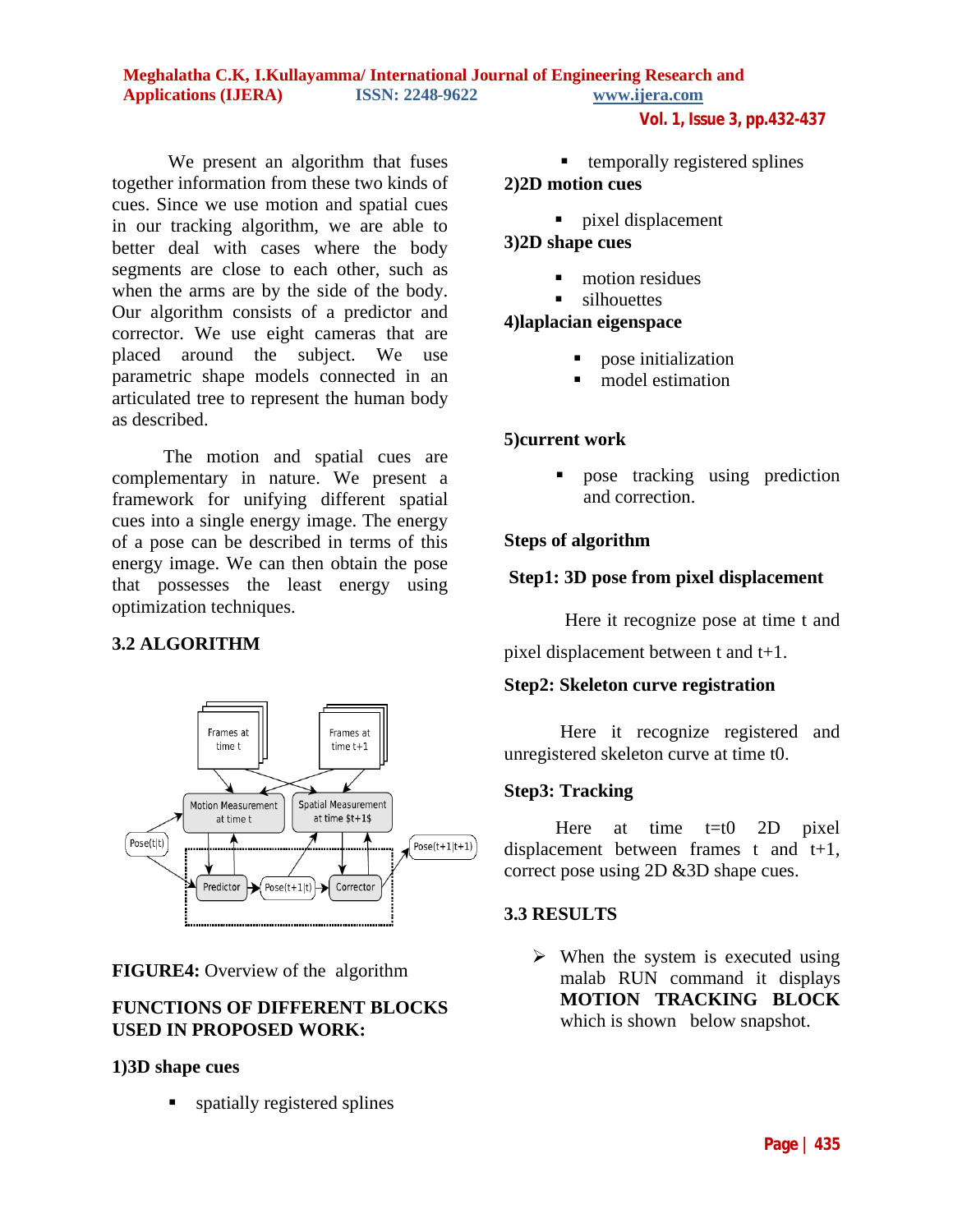#### **Meghalatha C.K, I.Kullayamma/ International Journal of Engineering Research and Applications (IJERA) ISSN: 2248-9622 www.ijera.com**

**Vol. 1, Issue 3, pp.432-437**

We present an algorithm that fuses together information from these two kinds of cues. Since we use motion and spatial cues in our tracking algorithm, we are able to better deal with cases where the body segments are close to each other, such as when the arms are by the side of the body. Our algorithm consists of a predictor and corrector. We use eight cameras that are placed around the subject. We use parametric shape models connected in an articulated tree to represent the human body as described.

 The motion and spatial cues are complementary in nature. We present a framework for unifying different spatial cues into a single energy image. The energy of a pose can be described in terms of this energy image. We can then obtain the pose that possesses the least energy using optimization techniques.

## **3.2 ALGORITHM**



**FIGURE4:** Overview of the algorithm

## **FUNCTIONS OF DIFFERENT BLOCKS USED IN PROPOSED WORK:**

### **1)3D shape cues**

**spatially registered splines** 

# $\blacksquare$  temporally registered splines

## **2)2D motion cues**

**pixel displacement** 

# **3)2D shape cues**

- motion residues
- silhouettes

## **4)laplacian eigenspace**

- **pose initialization**
- model estimation

## **5)current work**

 pose tracking using prediction and correction.

## **Steps of algorithm**

## **Step1: 3D pose from pixel displacement**

Here it recognize pose at time t and

pixel displacement between t and t+1.

## **Step2: Skeleton curve registration**

Here it recognize registered and unregistered skeleton curve at time t0.

## **Step3: Tracking**

Here at time  $t=t0$  2D pixel displacement between frames t and t+1, correct pose using 2D &3D shape cues.

## **3.3 RESULTS**

 $\triangleright$  When the system is executed using malab RUN command it displays **MOTION TRACKING BLOCK** which is shown below snapshot.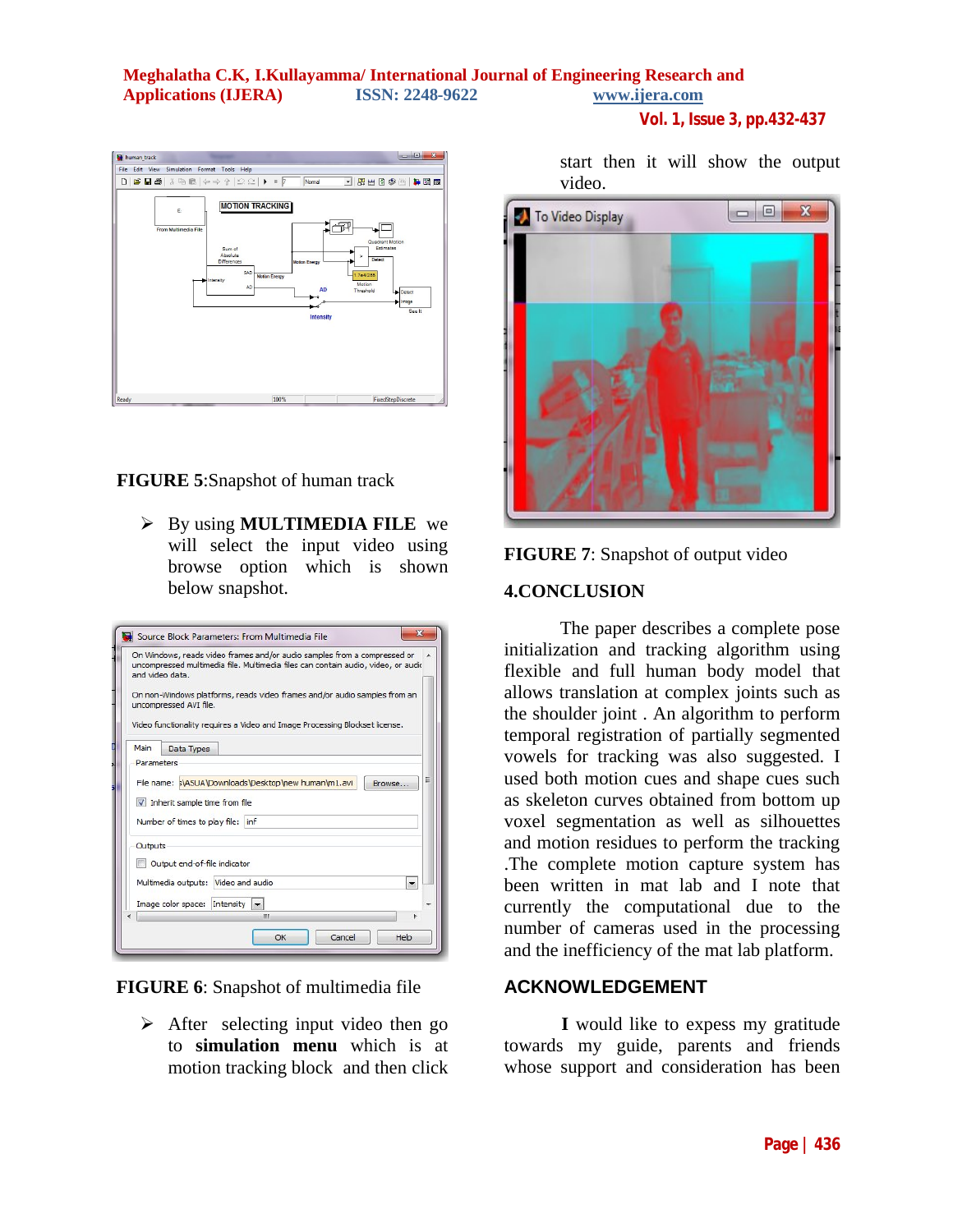## **Meghalatha C.K, I.Kullayamma/ International Journal of Engineering Research and Applications (IJERA) ISSN: 2248-9622 www.ijera.com**

human\_track File Edit View Simulation Format Tools Help  $D|B \sqcup B| \geqslant 0 \geqslant \cdots \geqslant 0$ Med⊗ **BE MOTION TRACKING**  $\mathbf{F}$ 

**FIGURE 5**:Snapshot of human track

 By using **MULTIMEDIA FILE** we will select the input video using browse option which is shown below snapshot.

|            | and video data.<br>uncompressed AVI file.                      | On Windows, reads video frames and/or audio samples from a compressed or<br>uncompressed multimedia file. Multimedia files can contain audio, video, or audio<br>On non-Windows platforms, reads video frames and/or audio samples from an<br>Video functionality requires a Video and Image Processing Blockset license. |  |        |   |
|------------|----------------------------------------------------------------|---------------------------------------------------------------------------------------------------------------------------------------------------------------------------------------------------------------------------------------------------------------------------------------------------------------------------|--|--------|---|
| Main       | <b>Data Types</b>                                              |                                                                                                                                                                                                                                                                                                                           |  |        |   |
| Parameters |                                                                |                                                                                                                                                                                                                                                                                                                           |  |        | Ξ |
|            | Inherit sample time from file<br>Number of times to play file: | File name: SVASUA\Downloads\Desktop\new human\m1.avi<br>inf                                                                                                                                                                                                                                                               |  | Browse |   |
| Outputs    |                                                                |                                                                                                                                                                                                                                                                                                                           |  |        |   |
|            | Output end-of-file indicator                                   |                                                                                                                                                                                                                                                                                                                           |  |        |   |
|            |                                                                | Multimedia outputs: Video and audio                                                                                                                                                                                                                                                                                       |  |        |   |
|            | Image color space:                                             | Intensity<br>$\overline{\phantom{a}}$<br>ш                                                                                                                                                                                                                                                                                |  |        |   |
|            |                                                                |                                                                                                                                                                                                                                                                                                                           |  |        |   |

**FIGURE 6**: Snapshot of multimedia file

 $\triangleright$  After selecting input video then go to **simulation menu** which is at motion tracking block and then click

start then it will show the output video.

**Vol. 1, Issue 3, pp.432-437**





#### **4.CONCLUSION**

The paper describes a complete pose initialization and tracking algorithm using flexible and full human body model that allows translation at complex joints such as the shoulder joint . An algorithm to perform temporal registration of partially segmented vowels for tracking was also suggested. I used both motion cues and shape cues such as skeleton curves obtained from bottom up voxel segmentation as well as silhouettes and motion residues to perform the tracking .The complete motion capture system has been written in mat lab and I note that currently the computational due to the number of cameras used in the processing and the inefficiency of the mat lab platform.

### **ACKNOWLEDGEMENT**

 **I** would like to expess my gratitude towards my guide, parents and friends whose support and consideration has been